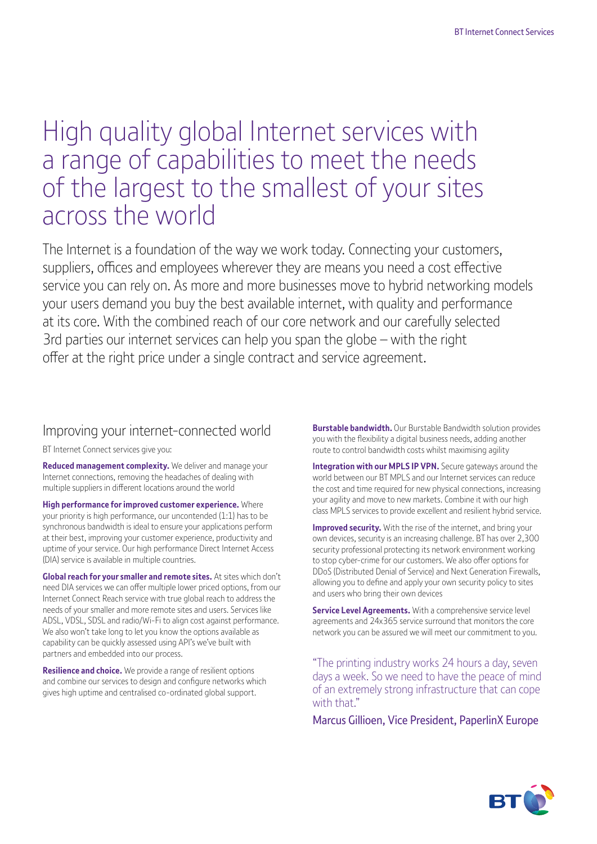# High quality global Internet services with a range of capabilities to meet the needs of the largest to the smallest of your sites across the world

The Internet is a foundation of the way we work today. Connecting your customers, suppliers, offices and employees wherever they are means you need a cost effective service you can rely on. As more and more businesses move to hybrid networking models your users demand you buy the best available internet, with quality and performance at its core. With the combined reach of our core network and our carefully selected 3rd parties our internet services can help you span the globe – with the right offer at the right price under a single contract and service agreement.

## Improving your internet-connected world

BT Internet Connect services give you:

**Reduced management complexity.** We deliver and manage your Internet connections, removing the headaches of dealing with multiple suppliers in different locations around the world

**High performance for improved customer experience.** Where your priority is high performance, our uncontended (1:1) has to be synchronous bandwidth is ideal to ensure your applications perform at their best, improving your customer experience, productivity and uptime of your service. Our high performance Direct Internet Access (DIA) service is available in multiple countries.

**Global reach for your smaller and remote sites.** At sites which don't need DIA services we can offer multiple lower priced options, from our Internet Connect Reach service with true global reach to address the needs of your smaller and more remote sites and users. Services like ADSL, VDSL, SDSL and radio/Wi-Fi to align cost against performance. We also won't take long to let you know the options available as capability can be quickly assessed using API's we've built with partners and embedded into our process.

**Resilience and choice.** We provide a range of resilient options and combine our services to design and configure networks which gives high uptime and centralised co-ordinated global support.

**Burstable bandwidth.** Our Burstable Bandwidth solution provides you with the flexibility a digital business needs, adding another route to control bandwidth costs whilst maximising agility

**Integration with our MPLS IP VPN.** Secure gateways around the world between our BT MPLS and our Internet services can reduce the cost and time required for new physical connections, increasing your agility and move to new markets. Combine it with our high class MPLS services to provide excellent and resilient hybrid service.

**Improved security.** With the rise of the internet, and bring your own devices, security is an increasing challenge. BT has over 2,300 security professional protecting its network environment working to stop cyber-crime for our customers. We also offer options for DDoS (Distributed Denial of Service) and Next Generation Firewalls, allowing you to define and apply your own security policy to sites and users who bring their own devices

**Service Level Agreements.** With a comprehensive service level agreements and 24x365 service surround that monitors the core network you can be assured we will meet our commitment to you.

"The printing industry works 24 hours a day, seven days a week. So we need to have the peace of mind of an extremely strong infrastructure that can cope with that."

Marcus Gillioen, Vice President, PaperlinX Europe